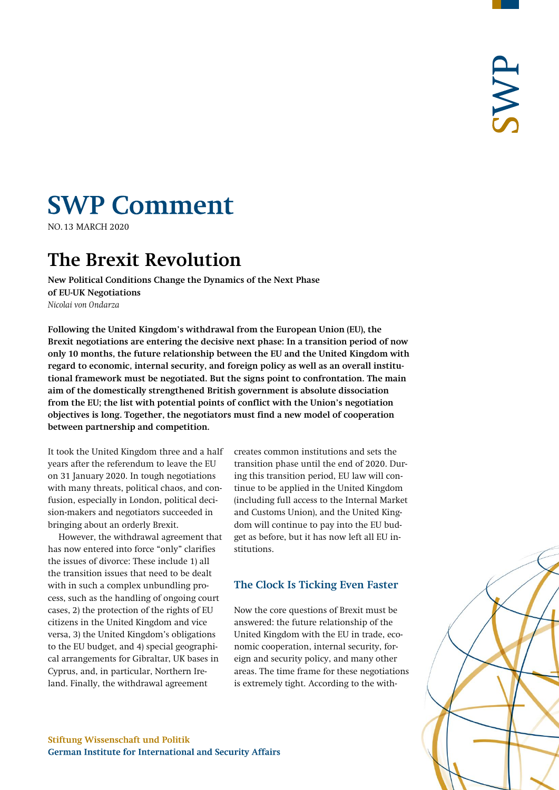# **SWP Comment**

**NO.13 MARCH 2020** 

# **The Brexit Revolution**

**New Political Conditions Change the Dynamics of the Next Phase of EU-UK Negotiations** *Nicolai von Ondarza*

**Following the United Kingdom's withdrawal from the European Union (EU), the Brexit negotiations are entering the decisive next phase: In a transition period of now only 10 months, the future relationship between the EU and the United Kingdom with regard to economic, internal security, and foreign policy as well as an overall institutional framework must be negotiated. But the signs point to confrontation. The main aim of the domestically strengthened British government is absolute dissociation from the EU; the list with potential points of conflict with the Union's negotiation objectives is long. Together, the negotiators must find a new model of cooperation between partnership and competition.**

It took the United Kingdom three and a half years after the referendum to leave the EU on 31 January 2020. In tough negotiations with many threats, political chaos, and confusion, especially in London, political decision-makers and negotiators succeeded in bringing about an orderly Brexit.

However, the withdrawal agreement that has now entered into force "only" clarifies the issues of divorce: These include 1) all the transition issues that need to be dealt with in such a complex unbundling process, such as the handling of ongoing court cases, 2) the protection of the rights of EU citizens in the United Kingdom and vice versa, 3) the United Kingdom's obligations to the EU budget, and 4) special geographical arrangements for Gibraltar, UK bases in Cyprus, and, in particular, Northern Ireland. Finally, the withdrawal agreement

creates common institutions and sets the transition phase until the end of 2020. During this transition period, EU law will continue to be applied in the United Kingdom (including full access to the Internal Market and Customs Union), and the United Kingdom will continue to pay into the EU budget as before, but it has now left all EU institutions.

# **The Clock Is Ticking Even Faster**

Now the core questions of Brexit must be answered: the future relationship of the United Kingdom with the EU in trade, economic cooperation, internal security, foreign and security policy, and many other areas. The time frame for these negotiations is extremely tight. According to the with-



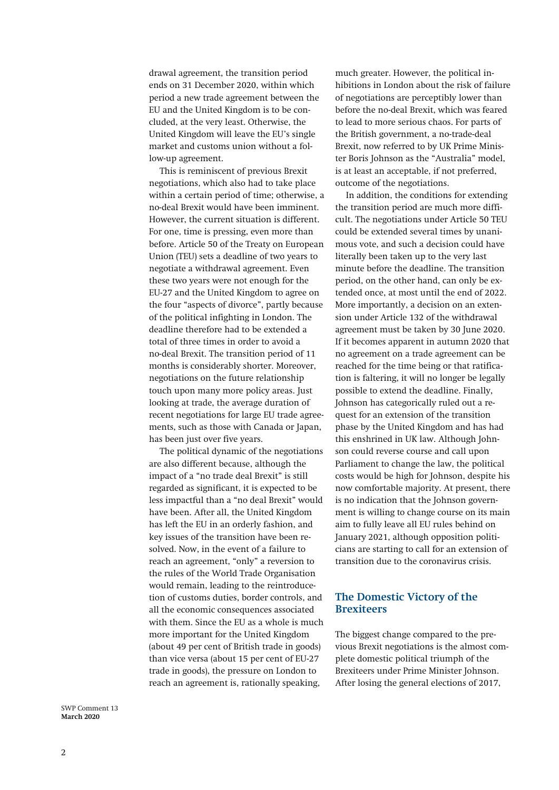drawal agreement, the transition period ends on 31 December 2020, within which period a new trade agreement between the EU and the United Kingdom is to be concluded, at the very least. Otherwise, the United Kingdom will leave the EU's single market and customs union without a follow-up agreement.

This is reminiscent of previous Brexit negotiations, which also had to take place within a certain period of time; otherwise, a no-deal Brexit would have been imminent. However, the current situation is different. For one, time is pressing, even more than before. Article 50 of the Treaty on European Union (TEU) sets a deadline of two years to negotiate a withdrawal agreement. Even these two years were not enough for the EU-27 and the United Kingdom to agree on the four "aspects of divorce", partly because of the political infighting in London. The deadline therefore had to be extended a total of three times in order to avoid a no-deal Brexit. The transition period of 11 months is considerably shorter. Moreover, negotiations on the future relationship touch upon many more policy areas. Just looking at trade, the average duration of recent negotiations for large EU trade agreements, such as those with Canada or Japan, has been just over five years.

The political dynamic of the negotiations are also different because, although the impact of a "no trade deal Brexit" is still regarded as significant, it is expected to be less impactful than a "no deal Brexit" would have been. After all, the United Kingdom has left the EU in an orderly fashion, and key issues of the transition have been resolved. Now, in the event of a failure to reach an agreement, "only" a reversion to the rules of the World Trade Organisation would remain, leading to the reintroducetion of customs duties, border controls, and all the economic consequences associated with them. Since the EU as a whole is much more important for the United Kingdom (about 49 per cent of British trade in goods) than vice versa (about 15 per cent of EU-27 trade in goods), the pressure on London to reach an agreement is, rationally speaking,

much greater. However, the political inhibitions in London about the risk of failure of negotiations are perceptibly lower than before the no-deal Brexit, which was feared to lead to more serious chaos. For parts of the British government, a no-trade-deal Brexit, now referred to by UK Prime Minister Boris Johnson as the "Australia" model, is at least an acceptable, if not preferred, outcome of the negotiations.

In addition, the conditions for extending the transition period are much more difficult. The negotiations under Article 50 TEU could be extended several times by unanimous vote, and such a decision could have literally been taken up to the very last minute before the deadline. The transition period, on the other hand, can only be extended once, at most until the end of 2022. More importantly, a decision on an extension under Article 132 of the withdrawal agreement must be taken by 30 June 2020. If it becomes apparent in autumn 2020 that no agreement on a trade agreement can be reached for the time being or that ratification is faltering, it will no longer be legally possible to extend the deadline. Finally, Johnson has categorically ruled out a request for an extension of the transition phase by the United Kingdom and has had this enshrined in UK law. Although Johnson could reverse course and call upon Parliament to change the law, the political costs would be high for Johnson, despite his now comfortable majority. At present, there is no indication that the Johnson government is willing to change course on its main aim to fully leave all EU rules behind on January 2021, although opposition politicians are starting to call for an extension of transition due to the coronavirus crisis.

# **The Domestic Victory of the Brexiteers**

The biggest change compared to the previous Brexit negotiations is the almost complete domestic political triumph of the Brexiteers under Prime Minister Johnson. After losing the general elections of 2017,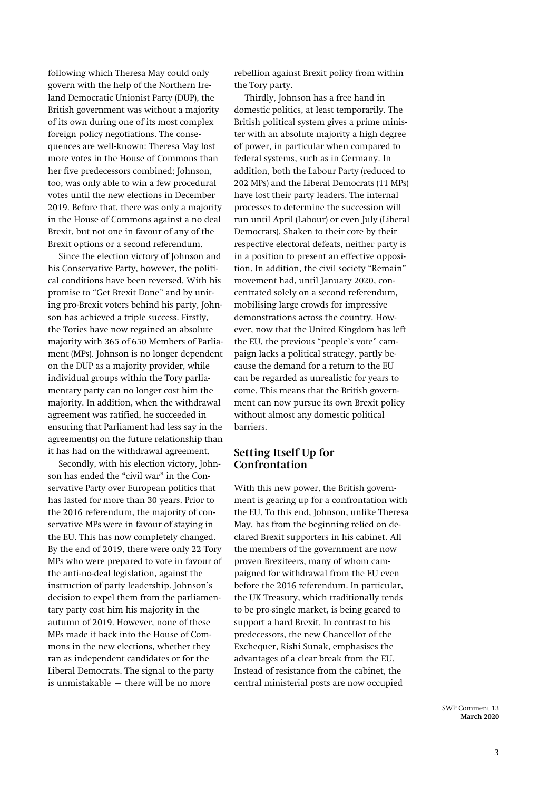following which Theresa May could only govern with the help of the Northern Ireland Democratic Unionist Party (DUP), the British government was without a majority of its own during one of its most complex foreign policy negotiations. The consequences are well-known: Theresa May lost more votes in the House of Commons than her five predecessors combined; Johnson, too, was only able to win a few procedural votes until the new elections in December 2019. Before that, there was only a majority in the House of Commons against a no deal Brexit, but not one in favour of any of the Brexit options or a second referendum.

Since the election victory of Johnson and his Conservative Party, however, the political conditions have been reversed. With his promise to "Get Brexit Done" and by uniting pro-Brexit voters behind his party, Johnson has achieved a triple success. Firstly, the Tories have now regained an absolute majority with 365 of 650 Members of Parliament (MPs). Johnson is no longer dependent on the DUP as a majority provider, while individual groups within the Tory parliamentary party can no longer cost him the majority. In addition, when the withdrawal agreement was ratified, he succeeded in ensuring that Parliament had less say in the agreement(s) on the future relationship than it has had on the withdrawal agreement.

Secondly, with his election victory, Johnson has ended the "civil war" in the Conservative Party over European politics that has lasted for more than 30 years. Prior to the 2016 referendum, the majority of conservative MPs were in favour of staying in the EU. This has now completely changed. By the end of 2019, there were only 22 Tory MPs who were prepared to vote in favour of the anti-no-deal legislation, against the instruction of party leadership. Johnson's decision to expel them from the parliamentary party cost him his majority in the autumn of 2019. However, none of these MPs made it back into the House of Commons in the new elections, whether they ran as independent candidates or for the Liberal Democrats. The signal to the party is unmistakable – there will be no more

rebellion against Brexit policy from within the Tory party.

Thirdly, Johnson has a free hand in domestic politics, at least temporarily. The British political system gives a prime minister with an absolute majority a high degree of power, in particular when compared to federal systems, such as in Germany. In addition, both the Labour Party (reduced to 202 MPs) and the Liberal Democrats (11 MPs) have lost their party leaders. The internal processes to determine the succession will run until April (Labour) or even July (Liberal Democrats). Shaken to their core by their respective electoral defeats, neither party is in a position to present an effective opposition. In addition, the civil society "Remain" movement had, until January 2020, concentrated solely on a second referendum, mobilising large crowds for impressive demonstrations across the country. However, now that the United Kingdom has left the EU, the previous "people's vote" campaign lacks a political strategy, partly because the demand for a return to the EU can be regarded as unrealistic for years to come. This means that the British government can now pursue its own Brexit policy without almost any domestic political barriers.

# **Setting Itself Up for Confrontation**

With this new power, the British government is gearing up for a confrontation with the EU. To this end, Johnson, unlike Theresa May, has from the beginning relied on declared Brexit supporters in his cabinet. All the members of the government are now proven Brexiteers, many of whom campaigned for withdrawal from the EU even before the 2016 referendum. In particular, the UK Treasury, which traditionally tends to be pro-single market, is being geared to support a hard Brexit. In contrast to his predecessors, the new Chancellor of the Exchequer, Rishi Sunak, emphasises the advantages of a clear break from the EU. Instead of resistance from the cabinet, the central ministerial posts are now occupied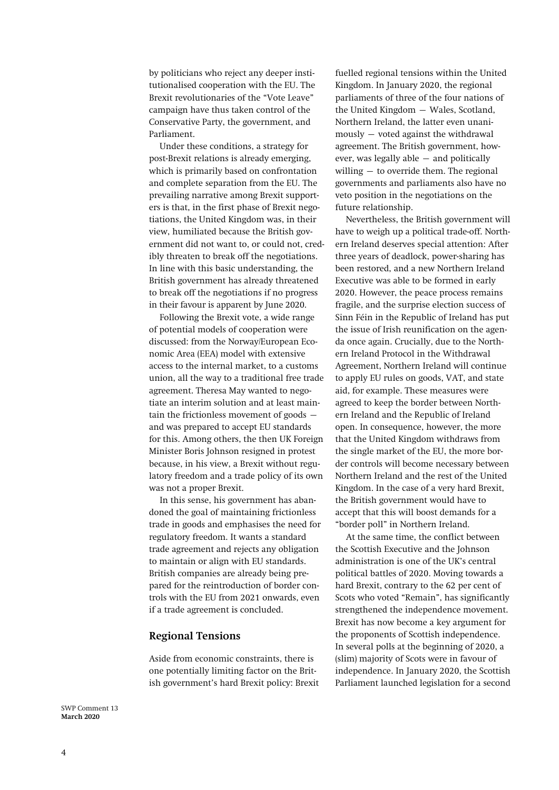by politicians who reject any deeper institutionalised cooperation with the EU. The Brexit revolutionaries of the "Vote Leave" campaign have thus taken control of the Conservative Party, the government, and Parliament.

Under these conditions, a strategy for post-Brexit relations is already emerging, which is primarily based on confrontation and complete separation from the EU. The prevailing narrative among Brexit supporters is that, in the first phase of Brexit negotiations, the United Kingdom was, in their view, humiliated because the British government did not want to, or could not, credibly threaten to break off the negotiations. In line with this basic understanding, the British government has already threatened to break off the negotiations if no progress in their favour is apparent by June 2020.

Following the Brexit vote, a wide range of potential models of cooperation were discussed: from the Norway/European Economic Area (EEA) model with extensive access to the internal market, to a customs union, all the way to a traditional free trade agreement. Theresa May wanted to negotiate an interim solution and at least maintain the frictionless movement of goods – and was prepared to accept EU standards for this. Among others, the then UK Foreign Minister Boris Johnson resigned in protest because, in his view, a Brexit without regulatory freedom and a trade policy of its own was not a proper Brexit.

In this sense, his government has abandoned the goal of maintaining frictionless trade in goods and emphasises the need for regulatory freedom. It wants a standard trade agreement and rejects any obligation to maintain or align with EU standards. British companies are already being prepared for the reintroduction of border controls with the EU from 2021 onwards, even if a trade agreement is concluded.

# **Regional Tensions**

Aside from economic constraints, there is one potentially limiting factor on the British government's hard Brexit policy: Brexit fuelled regional tensions within the United Kingdom. In January 2020, the regional parliaments of three of the four nations of the United Kingdom – Wales, Scotland, Northern Ireland, the latter even unanimously – voted against the withdrawal agreement. The British government, however, was legally able – and politically willing – to override them. The regional governments and parliaments also have no veto position in the negotiations on the future relationship.

Nevertheless, the British government will have to weigh up a political trade-off. Northern Ireland deserves special attention: After three years of deadlock, power-sharing has been restored, and a new Northern Ireland Executive was able to be formed in early 2020. However, the peace process remains fragile, and the surprise election success of Sinn Féin in the Republic of Ireland has put the issue of Irish reunification on the agenda once again. Crucially, due to the Northern Ireland Protocol in the Withdrawal Agreement, Northern Ireland will continue to apply EU rules on goods, VAT, and state aid, for example. These measures were agreed to keep the border between Northern Ireland and the Republic of Ireland open. In consequence, however, the more that the United Kingdom withdraws from the single market of the EU, the more border controls will become necessary between Northern Ireland and the rest of the United Kingdom. In the case of a very hard Brexit, the British government would have to accept that this will boost demands for a "border poll" in Northern Ireland.

At the same time, the conflict between the Scottish Executive and the Johnson administration is one of the UK's central political battles of 2020. Moving towards a hard Brexit, contrary to the 62 per cent of Scots who voted "Remain", has significantly strengthened the independence movement. Brexit has now become a key argument for the proponents of Scottish independence. In several polls at the beginning of 2020, a (slim) majority of Scots were in favour of independence. In January 2020, the Scottish Parliament launched legislation for a second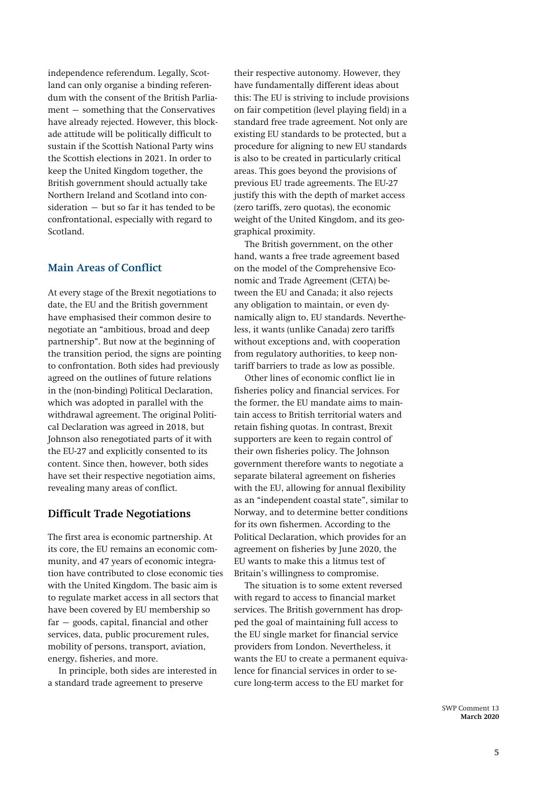independence referendum. Legally, Scotland can only organise a binding referendum with the consent of the British Parliament – something that the Conservatives have already rejected. However, this blockade attitude will be politically difficult to sustain if the Scottish National Party wins the Scottish elections in 2021. In order to keep the United Kingdom together, the British government should actually take Northern Ireland and Scotland into consideration – but so far it has tended to be confrontational, especially with regard to Scotland.

# **Main Areas of Conflict**

At every stage of the Brexit negotiations to date, the EU and the British government have emphasised their common desire to negotiate an "ambitious, broad and deep partnership". But now at the beginning of the transition period, the signs are pointing to confrontation. Both sides had previously agreed on the outlines of future relations in the (non-binding) Political Declaration, which was adopted in parallel with the withdrawal agreement. The original Political Declaration was agreed in 2018, but Johnson also renegotiated parts of it with the EU-27 and explicitly consented to its content. Since then, however, both sides have set their respective negotiation aims, revealing many areas of conflict.

#### **Difficult Trade Negotiations**

The first area is economic partnership. At its core, the EU remains an economic community, and 47 years of economic integration have contributed to close economic ties with the United Kingdom. The basic aim is to regulate market access in all sectors that have been covered by EU membership so far – goods, capital, financial and other services, data, public procurement rules, mobility of persons, transport, aviation, energy, fisheries, and more.

In principle, both sides are interested in a standard trade agreement to preserve

their respective autonomy. However, they have fundamentally different ideas about this: The EU is striving to include provisions on fair competition (level playing field) in a standard free trade agreement. Not only are existing EU standards to be protected, but a procedure for aligning to new EU standards is also to be created in particularly critical areas. This goes beyond the provisions of previous EU trade agreements. The EU-27 justify this with the depth of market access (zero tariffs, zero quotas), the economic weight of the United Kingdom, and its geographical proximity.

The British government, on the other hand, wants a free trade agreement based on the model of the Comprehensive Economic and Trade Agreement (CETA) between the EU and Canada; it also rejects any obligation to maintain, or even dynamically align to, EU standards. Nevertheless, it wants (unlike Canada) zero tariffs without exceptions and, with cooperation from regulatory authorities, to keep nontariff barriers to trade as low as possible.

Other lines of economic conflict lie in fisheries policy and financial services. For the former, the EU mandate aims to maintain access to British territorial waters and retain fishing quotas. In contrast, Brexit supporters are keen to regain control of their own fisheries policy. The Johnson government therefore wants to negotiate a separate bilateral agreement on fisheries with the EU, allowing for annual flexibility as an "independent coastal state", similar to Norway, and to determine better conditions for its own fishermen. According to the Political Declaration, which provides for an agreement on fisheries by June 2020, the EU wants to make this a litmus test of Britain's willingness to compromise.

The situation is to some extent reversed with regard to access to financial market services. The British government has dropped the goal of maintaining full access to the EU single market for financial service providers from London. Nevertheless, it wants the EU to create a permanent equivalence for financial services in order to secure long-term access to the EU market for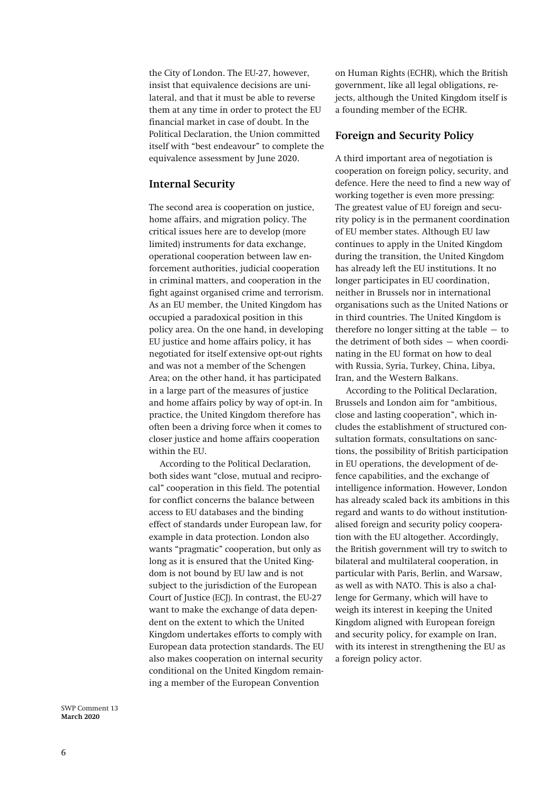the City of London. The EU-27, however, insist that equivalence decisions are unilateral, and that it must be able to reverse them at any time in order to protect the EU financial market in case of doubt. In the Political Declaration, the Union committed itself with "best endeavour" to complete the equivalence assessment by June 2020.

# **Internal Security**

The second area is cooperation on justice, home affairs, and migration policy. The critical issues here are to develop (more limited) instruments for data exchange, operational cooperation between law enforcement authorities, judicial cooperation in criminal matters, and cooperation in the fight against organised crime and terrorism. As an EU member, the United Kingdom has occupied a paradoxical position in this policy area. On the one hand, in developing EU justice and home affairs policy, it has negotiated for itself extensive opt-out rights and was not a member of the Schengen Area; on the other hand, it has participated in a large part of the measures of justice and home affairs policy by way of opt-in. In practice, the United Kingdom therefore has often been a driving force when it comes to closer justice and home affairs cooperation within the EU.

According to the Political Declaration, both sides want "close, mutual and reciprocal" cooperation in this field. The potential for conflict concerns the balance between access to EU databases and the binding effect of standards under European law, for example in data protection. London also wants "pragmatic" cooperation, but only as long as it is ensured that the United Kingdom is not bound by EU law and is not subject to the jurisdiction of the European Court of Justice (ECJ). In contrast, the EU-27 want to make the exchange of data dependent on the extent to which the United Kingdom undertakes efforts to comply with European data protection standards. The EU also makes cooperation on internal security conditional on the United Kingdom remaining a member of the European Convention

on Human Rights (ECHR), which the British government, like all legal obligations, rejects, although the United Kingdom itself is a founding member of the ECHR.

#### **Foreign and Security Policy**

A third important area of negotiation is cooperation on foreign policy, security, and defence. Here the need to find a new way of working together is even more pressing: The greatest value of EU foreign and security policy is in the permanent coordination of EU member states. Although EU law continues to apply in the United Kingdom during the transition, the United Kingdom has already left the EU institutions. It no longer participates in EU coordination, neither in Brussels nor in international organisations such as the United Nations or in third countries. The United Kingdom is therefore no longer sitting at the table  $-$  to the detriment of both sides – when coordinating in the EU format on how to deal with Russia, Syria, Turkey, China, Libya, Iran, and the Western Balkans.

According to the Political Declaration, Brussels and London aim for "ambitious, close and lasting cooperation", which includes the establishment of structured consultation formats, consultations on sanctions, the possibility of British participation in EU operations, the development of defence capabilities, and the exchange of intelligence information. However, London has already scaled back its ambitions in this regard and wants to do without institutionalised foreign and security policy cooperation with the EU altogether. Accordingly, the British government will try to switch to bilateral and multilateral cooperation, in particular with Paris, Berlin, and Warsaw, as well as with NATO. This is also a challenge for Germany, which will have to weigh its interest in keeping the United Kingdom aligned with European foreign and security policy, for example on Iran, with its interest in strengthening the EU as a foreign policy actor.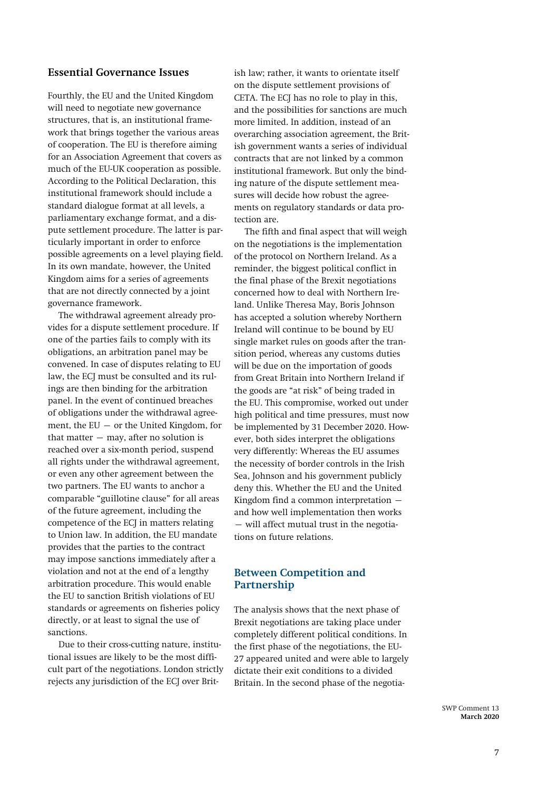# **Essential Governance Issues**

Fourthly, the EU and the United Kingdom will need to negotiate new governance structures, that is, an institutional framework that brings together the various areas of cooperation. The EU is therefore aiming for an Association Agreement that covers as much of the EU-UK cooperation as possible. According to the Political Declaration, this institutional framework should include a standard dialogue format at all levels, a parliamentary exchange format, and a dispute settlement procedure. The latter is particularly important in order to enforce possible agreements on a level playing field. In its own mandate, however, the United Kingdom aims for a series of agreements that are not directly connected by a joint governance framework.

The withdrawal agreement already provides for a dispute settlement procedure. If one of the parties fails to comply with its obligations, an arbitration panel may be convened. In case of disputes relating to EU law, the ECJ must be consulted and its rulings are then binding for the arbitration panel. In the event of continued breaches of obligations under the withdrawal agreement, the EU – or the United Kingdom, for that matter  $-$  may, after no solution is reached over a six-month period, suspend all rights under the withdrawal agreement, or even any other agreement between the two partners. The EU wants to anchor a comparable "guillotine clause" for all areas of the future agreement, including the competence of the ECJ in matters relating to Union law. In addition, the EU mandate provides that the parties to the contract may impose sanctions immediately after a violation and not at the end of a lengthy arbitration procedure. This would enable the EU to sanction British violations of EU standards or agreements on fisheries policy directly, or at least to signal the use of sanctions.

Due to their cross-cutting nature, institutional issues are likely to be the most difficult part of the negotiations. London strictly rejects any jurisdiction of the ECJ over Brit-

ish law; rather, it wants to orientate itself on the dispute settlement provisions of CETA. The ECJ has no role to play in this, and the possibilities for sanctions are much more limited. In addition, instead of an overarching association agreement, the British government wants a series of individual contracts that are not linked by a common institutional framework. But only the binding nature of the dispute settlement measures will decide how robust the agreements on regulatory standards or data protection are.

The fifth and final aspect that will weigh on the negotiations is the implementation of the protocol on Northern Ireland. As a reminder, the biggest political conflict in the final phase of the Brexit negotiations concerned how to deal with Northern Ireland. Unlike Theresa May, Boris Johnson has accepted a solution whereby Northern Ireland will continue to be bound by EU single market rules on goods after the transition period, whereas any customs duties will be due on the importation of goods from Great Britain into Northern Ireland if the goods are "at risk" of being traded in the EU. This compromise, worked out under high political and time pressures, must now be implemented by 31 December 2020. However, both sides interpret the obligations very differently: Whereas the EU assumes the necessity of border controls in the Irish Sea, Johnson and his government publicly deny this. Whether the EU and the United Kingdom find a common interpretation – and how well implementation then works – will affect mutual trust in the negotiations on future relations.

# **Between Competition and Partnership**

The analysis shows that the next phase of Brexit negotiations are taking place under completely different political conditions. In the first phase of the negotiations, the EU-27 appeared united and were able to largely dictate their exit conditions to a divided Britain. In the second phase of the negotia-